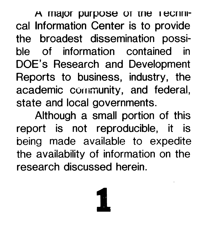A major purpose or the recritical Information Center is to provide the broadest dissemination possible of information contained in DOE's Research and Development Reports to business, industry, the academic community, and federal, state and local governments.

Although a small portion of this report is not reproducible, it is being made available to expedite the availability of information on the research discussed herein.

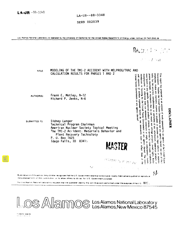**LA-UR**  $-88-3348$ 

 $\alpha$ 

 $LA-UR--88-3348$ 

DE89 002039

Los Alamos National Laboratory is operated by the University of California for the United States Department of Energy under contract W-7405-ENG-36 Report of the Plat  $\sim 10^{11}$  and  $\sim 70^{11}$  and MODELING OF THE TMI-2 ACCIDENT WITH MELPROG/TRAC AND **TITLE:** CALCULATION RESULTS FOR PHASES 1 AND 2 This report was prepared as an account of work sponored by an agency of the United States Government. Neither the United States Government either the United States Government in the United States Government not any agency ence herein to any specific commercial product, process, of<br>manufacturer, or otherwise does not necessarily constitute bility for the accuracy, completeness, or usefulness of any information, apparatus. and opinions of authors expressed herein do not<br>United States Government or any agency thereof. mendation, or favoring by the United States Government or any agency thereof. The vews process disclosed, or represents that its use Frank E. Motley, N-12 **AUTHOR(S)** Richard P. Jenks, N-6 **DISCLAIMER** would not Sidney Langer SUBMITTED TO constitute or Technical Program Chairman American Nuclear Society Topical Meeting The TMI-2 Accident: Materials Behavior and service by trade name, trademark, Plant Recovery Technology imply its endorsement, roomprivately owned rights. Referstate or reflect those of the P. O. Box 1625 Idago Falls, ID 83415 MASTER cartaikus mi ar shin pur  $\mathcal{L}_{\mathcal{A}}$  $\partial h$ By acceptance of this article. The publisher recognizes that the U.S. Government retains a nonexclusive iroyalty-free license to publish or reproduce the published form of this contribution, or to allow others to do so, for U.S. Government purposes

The Los Alamos National Laboratory requests that the publisher identify this article as work performed under the auspices of the U.S. NRC,

S Allam OS Los Alamos National Laboratory

FORM NO. 836-84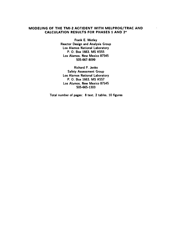## **MODELING OF THE TMI-2 ACCIDENT WITH MELPROG/TRAC AND CALCULATION RESULTS FOR PHASES 1 AND 2"**

**Frank E. Motley Reactor Design and Analysis Group Los Alamos National Laboratory P. O. Box 1663, MS K555 Los Alamos, New Mexico 87545 505-667-8099**

**Richard P. Jenks Safety Assessment Group Los Alarnos National Laboratory P. O. Box 1663. MS K557 Los Alamos, New Mexico 87545 505-665-1303**

**Total number of pages: 8 text, 2 tables. 10 figures**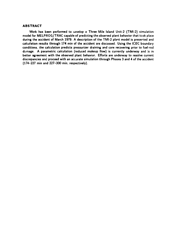## **ABSTRACT**

**Work has been performed to ~evelop a Three Mile Island Unit-2 (TMI-2) simulation model for ME LPROG/TRAC capable of predicting the observed plant behavior that tcok place during the accident of March 1979. A description of the TMI-2 pla~t model is preserted and calculation results through 174 min of the accident are discussed. Using the ICEC boundary conditions. the calculation predicts pressurizer draining and core recovering prior to fuel-rod damage. A parametric calculation (reduced makeup tlow) is currently underway and is in better agreement with the observed plant behavior. Efforts are underway to resolve current discrepancies and proceed with an accurate simulation through Phases 3 and 4 of the accident (174-227 min and 227-300 min. respectively).**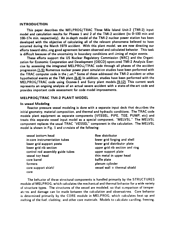## **INTRODUCTION**

**This paper describes the MFLPROG/TRAC Three Mile Island Unit-2 (TMI-2) input model and calculation results for Phases 1 and 2 of the TMI-2 accident (to 0-100 min and 10G174 min. respectively). An in-depth model of the TMI-2 nuclear power station has been developed with the objective of calculating all of the relevant phenomena believed to have occurred during the March 1979 accident. With this plant model, we are now directing our efforts toward obta;. ling good agreement between observed and calculated behavior. This task is difficult because of the uncertainty in boundary conditions and timing of major events.**

**These efforts support the US Nuclear Regulatory Commission (NRC) and the Organization for Economic Cooperation and Development (OECD)-spon~ored TMI-2 Analysis Exercise by assessing the integrated MELPROG/TRAC code through all phases of the accident progression.~ Numerous nuclear power plant simulation studies have been performed with the TRAC computer code in the [ Ast.b Some of these addressed the TMI-2 accident or other hypothetical events at the TMI plant.~ In addition, studies have been performed with the MELPROG/TRAC code using Oconee+l and Surry plant models. (9-12) This current work represents an ongoing analysis of an actual severe accident with a state-of-the-art code and provides important code assessment for code model improvements.**

#### **MELPROG/TRAC TMI-2 PLANT MODEL**

#### **In-vessel Modeling**

**Reactor pressure vessel modeling is done with a separate input deck that dewxibes the initial geometry, material composition, and thermal and hydraulic conditions. The TRAC code models plant equipment as separate components (VESSEL, PIPE, TEE. PUMP, etc) and treats this separate vessel input model as a special component, "MELVSL.'" The MELVSL component replaces the usual TRAC "VESSEL'" component in the calculation. The MELVSL model is shown in Fig. 1 and cnnsistsof the following:**

| vessel bottom head               | flow distributor                |  |  |
|----------------------------------|---------------------------------|--|--|
| in-core instrumentation tubes    | lower grid forging and shell    |  |  |
| lower grid support posts         | lower grid distributor plate    |  |  |
| lower grid rib section           | upper grid rib section and ring |  |  |
| control rod assembly guide tubes | upper support plate             |  |  |
| vessel top head                  | thin metal in upper head        |  |  |
| core barrel                      | baffle plate                    |  |  |
| formers                          | plenum cylinder                 |  |  |
| core support shield              | vessel wall $+$ thermal shield  |  |  |
| core                             |                                 |  |  |

**The beh~vior of these structural components is handled primarily by the STRUCTURES module of ME LPROG, which calculates the mechanical and thermal behavior for a wide variety of structure types. The structures of the vessel are modeled, so that comparison of ternperatl'~es and damage can tie made between the calculation and observations. Core behavior is determined primarily by the CORE module in MEL PROG, which calculates heat-up and melting of the fuel, claddin~, and other core materials. Models to calc~llate candling, freezing,**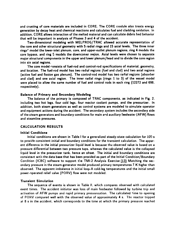**and crusting of core materials are included in CORE. The CORE module also treats energy generation by decay heat and chemical reactions and calculates fuel and cladding oxidation. In addition. CORE allows interaction of the melted material and can calculate debris bed behavior that will be important in analysis of Phases 3 and 4 of the accident.**

**Twmdimensional modeling with MELPROG/TRAC allowed accurate representation of the me and other structural geometry with 5 radial rings and 15 axial levels. The three inner ringsc model the lower-inlet plenum, core, and upper-outlet plenum regions, ring 4 models the core bypass, and ring 5 models the downcomer region. Axial levels were chosen to separate major structural components in the upper and lower plenum/head and to divide the core region into six axial regions.**

**The core model consists of fuel-rod and control-rod specifications of material, geometry, and location. The fuel-rod model has two radial regions (fuel and clad) and two axial regions (active fuel and fission gas plenum). The control-rod model has two radial regions (absorber and clad) and one axial region. The inner radial rings (rings 1 to 3) of the vessel model were placed to allow the same number of fuel and control rods in each ring (12272 and 698. respectively).**

#### **Balance of Primary and Secondary Modeling**

**The balance of the primary is composed of TRAC components, as indicated in Fig. 2, including two hot legs, four cold legs, four reactor coolant pumps, and the pressurizer. In addition, both steam generators as well as control systems are modeled to simulate operator and equipment actions during the accident. The secondary system includes the secondary side of the steam generators and boundary conditions for main and auxiliary feedwater (AFW) flows and steamline pressures.**

### **CALCULATION RESULTS**

#### **Initial Condition**

**initia! conditions are shown in Table 1for a generalized steady-state calculation for !09 s to provide consistent initial and boundary conditions for the transient calculation. Tile apparent difference in the initial pressurizer liquid level is because tha observed value is based on a pressure differential between two pressure taps, whereas the calculated value is the collapsed liquid level in the pressurizer tank, hence an oh'set. The initial and boundary conditions are consisteilt wlt~l the data base that has been provided as part of the Initial Condition/Boundary Condition (ICBC) software to support the TMI-2 Analysis Exercise ~ Matching the secondary pressure in the steam-generator model produced primary temperatures 7 K higher than observed. The apparent imbalance in initial loop-A cold-leg temperatures and the initial small power-operated relief valve (PORV) flow were not modeled.**

#### **Transient Simulation**

**The sequence of events is shown in Table 11,which compares observed with calculated event times. The accident initiator was loss of main feedwater followed by turbine trip and activation of AFW pumps and rapid primary pressurization. The calculated time to opening of PORV compared well with the observed value of approximately 4 s. The reactor tripped at 8 s in the accident, which corresponds to the time at which the primary pressure reached**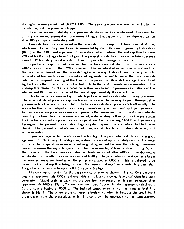**the high-pressure setpoint of 16.2711 MPa. The same pressure was reached at 8 s in the calculation, and the power was tripped.**

**Steam generators boiled dry at approximately the same time as observed. The times for primary system repressurization. pressurizer filling, and subsequent primary depressuization after 300 s compare moderately well.**

**Two calculations are discussed in the remainder of this report. A base case calcula~ion, which used the boundary conditions recommended by Idaho National Engineering Laboratory (INEL) in the IC8C, and a parametric calculation, which reduced the makeup flow between 720 and 6000 s to 1 kg/s from 6.5 kg/s. The parametric calculation was undertaken because using ICBC boundary conditions did not lead to predicted damage of the core.**

**Superheated vapor is not observed for the base case calculation until approximately 7482 s. as compared to the 6720 s observed. The superheated vapor is an indication that the core has uncovered and that core damage is underway. Delay of core uncovery leads to reduced clad temperatures and prevents cladding oxidation and failure in the base case calculation. Subsequent draining of the liquid in the pressurizer through the surge line and hot leg back into the upper core cools the fuel rods further and prevents repressurbation. The makeup flow chosen for the parametric calculation was based on previous calculations at Los Alamos and IN EL, which uncovered the core at approximately the correct time.**

**This behavior 's shown in Fig. 3, which plots observed vs calculated primary pressures, The initial calculated pressure response tracks the observed behavior quite well. However, after pressurizer block valve closure at 8340s, the base case calculated pressure falls off rapidly. The reason for this is that delayed core uncovery prevents early and sufficient hydrogen generation to maintain sys em pressure increase and prevents the pressurizer liquid from draining into the core, By the time the core becomes uncovered, water is already flowing from the pressurizer back to the core, which prevents core temperatures from exceeding 1100 K and generating hydrogen. (he parametric calculation begins system repressurization before the block valve closes. The parametric calculation is not complete at this time but does show signs of repressurization.**

**Figure 4 compares temperatures in the hot leg. The parametric calculation is in good agreement for the timing of hot-leg temperature increase at approximately 6400 s. The magnitude of the temperature increase is not in good agreement because the hot-leg instrument can not measure the vapor temperature. The pressurizer liquid Ievei is shown in Fig. 5, and the draining in the base case calculation is clearly indicated after 7400 s. The draining is accelerated further after block valve closure at 8340 s, The parametric calculation has a larger decrease in pressurizer level when the pump is stopped at 6000 s. 1 his is beiieved to be caused by th,e makeup flow being too low. The correct makeup flow is probably greater than 1 kg/s but considerably below the ICBC value of 6.5 kg/s.**

**The core liquid fraction for the base case calculation is shown in Fig. 6. Core uncovery begins at approximately 7500s, although this is too late to allow early and sufficient hydrogen generation. Liquid draining back into the core from the pressurizer is seen to occur after appr.)ximately 9400 s, Figure 7 shows the core Iiquld fraction for the parametric calculation, Core unccwery begins at 6600 s. The fuel-rod temperature in the inner ring at level 9 is shown in Fig, 8, The temperature turnover in both calculations is because the small liquid drain backs from the pressurizer, which is also shown by unsteady hot-leg temperatures**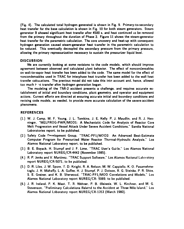**(Fig. 4). The calculated total hydrogen generated is shown in Fig. 9. Primary-t-secondary heat transfer for the base calculation is shown in Fig. 10 for both steam generators. Steam generator B showed significant heat transfer after 4500 s, and heat continued lo be removed from the primary throughout the duration of Phase 2. Figure 11 shows the steam-generator heat transfer for the parametric calculation. The core uncovery and heat-up with consequent hydrogen generation caused steangenerator heat tl ansfer in the parametric calculation to be reduced. This eventually decoupled the secondary pressure from the primary pressure, allowing the primary repressurization necessary to sustain the pressurizer liquid level.**

### **DISCUSSION**

**We are currently looking at some revisions to the code models, which should improve agreement between observed and calculated plant behavior. The effect of noncondensables on wall-t-vapor heat transfer has been added to the code. The same model for the effect of noncondensables used in TRAC for interphase heat transfer has been added to the wall heat transfer calculations. The previous model did not take this into account and, hence, allowed too much b nt transfer after hydrogen generation began.**

**The modeling of the TMI-2 accident presents a challenge, and requires accurate establishment of initial and boundary conditions, plant geometry, and operator and equipment actions. Current efforts are directed at ensuring accurate initial and boundary conditions and revising code models. as needed, to provide more accurate calculation of the sever-accident phenomena,**

## **REFERENCES**

- (1.) W. J. Camp, M. F. Young, J. L. Tomkins, J. E. Kelly. P. J. Maudlin, and R. J. Hen**ningw, "'MELPROG-PWR/MO Dl: A Mechanistic Code for Analysis of Reactor Core Melt Progression and Vessel Attack Under Severe Accident Conditions," Sandia National Laboratories report, to be published.**
- **(2.) Safety Code NwJopment Group, ""TRAC-PFl/MOD2: An Advanced Best-Estimate Computer Program for Pressurized Water Reactor Thcrrfial-Hydraulic Analysis," Los Alamos National Laboratory report, to be published.**
- **(3.) B. E. Boyack, H. Stumpf and J. F. Lime, "'TRAC User's Gui4e," Los Alamos National Laboratory report NUREG/CR-4442 (November 1985).**
- **(4.) R. P. Jenks and V. Martinez, '"TRAC Support Software,'" Los Alamos National Laboratory report NUREG/CR-5071, to be published.**
- **(5.) D. R. Liles, J. W. Spore, "r. D. Knight, R. A. Nelson, M. W. Cappiello, K. O, Pasamehmetoglu, J. H. Mahaffy, L, A. Guffee, H. J, Stumpf, P. J. Dotson. R. G. Steinke, P. R. Shire, S. E. Greiner. and K. B. Sherwood, ""TRAC-PFl/MOD Correlations and Models,"' Los Alamos National Laboratory report NUREG/CR- 5069, to be published.**
- **(6,) J. R. Ireland, P. K. Mast, 1, R. Wehner, P. B. i31eiweis, W. L. Kirchner, and M. G. Stevenson. "'Preliminary Calculations Relatsd to the Accident at Three Mile Island," Los Alamos National Laboratory report NUREG/CR-1353 (March 1980).**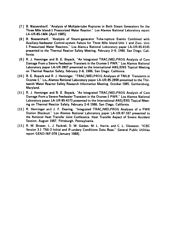- **(7.) B. Nassersharif, ""Analysis of Multipl\*tube Rupturesin Both Steam Generators for the Three Mile island-1 Pressurized Water Reactor,"" Los Alarnos National Laboratory report IA-IJR-85-1404 (April 1985).**
- **(8.) B. Nassersharif. "Analysis of Steam-generator Tube-rupture Events Combined with Auxiliary-feedwater Control-system Failure for Three Mile Island-Unit 1 and Zion- Unit 1 Pressurized Water Reactors: Los Alamcs National Laboratory paper LA- UR-85-4145 presented to the Thermal Reactor Safety Meeting, February 2-6, 1986, San Diego, California.**
- **(9.) R, J. Henninger and B. E. Boyack. "An Integrated TRAC/MELPROG Analysis of Core Damage From aSevere Feedwater Transient inthe Oconeel PWR,"' Los Alamos National Laboratory paper LA-UR-2807 presented tothelnternational ANS/ENS Topical Meeting on Thermal Reactor Safety, February 24, 1986, San Diego, California,**
- **(10.) B. E. Boyack and R. J. Henninger. "TRAC/MELPROG Analyses of TMLE3' Transients in Oconee-1 ,0'Lo. Alamos National Laboratory paper LA-U R-85-2898 presented to the Thirteenth Water Reactor Safety Research Information Meeting, October 1985, Gaithersburg, Maryland.**
- **(11.) R. J. Henninger and B. E. Boyack, "An Integrated TRAC/MELPROG Analysis of Core Damage From a Severe Feedwater Transient in the Ocone~l PWR,'" Los Alamos National Laboratory paper LA-UR-85-4173 presented to the International ANS/ENS Topical Meeting on Thermal Reactor Safety, February 2-6 1986. San Diego, California.**
- **(12.) R. Henninger and J. F. Dearing, '"Integrated TRAC/MELPROG Analyses of a PWR Station Blackout," Los Alamos National Laboratory paper LA-U R-87-167 presented to the National Heat Transfer Joint Conference, Heat Transfer Aspect of Ssvere Accident Session. August 1987. Pittsburgh, Pennsylvania.**
- **(13.) R. W. Brewer, L. J. Fackrell. D. W. Golden, M. L. Harris, and C, L. Olaveson, "'ICBC Version 3.1 TMI-2 Initial and Bcundary Conditions Data Base,'" General Public Utilities report GEND-INF-078 (January 1988).**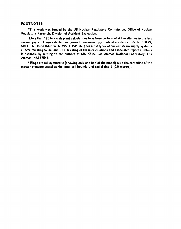## **FOOTNOTES**

**\*This work was funded by the US Nuclear Regulatory Commission, Office of Nuclear Regulatory Research. Division of Accident Evaluation.**

**bMore than 125 full-scale plant calculations have been performed at Los Alamos in the last several years. These calculations covered numerous hypothetic! accidents (SGTR, LOFW, SBLOCA, Boron Dilution, ATWS. LOSP, etc.) for most types of nuclear steam supply systems (B&W. Westinghouse, and CE). A iisting of these calculations and associated report numbers is available by writing to the authors at MS K555. Los Alamos National Laboratory, Los Alamos. NM 87545.**

**' Rings are axi-symmetric (showing only on~half of the model) wilh the centerline of the reactor pressure vessel at \*he inner cell boundary of radial ring 1 (0.0 meters).**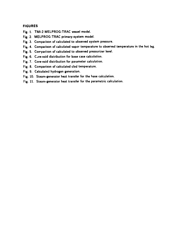## **FIGURES**

- **Fig. 1, TMI-2 MELPROG-TRAC vessel model.**
- **Fig. 2. MELPROG-TRAC primary-system model.**
- **Fig. 3. Comparison of calculated to observed system pressure.**
- **Fig. 4. Comparison of calculated vapor temperature to observed temperature in the hot leg.**
- **Fig. 5. Comparison of calculated to observed pressurizer level.**
- **Fig. 6. C~r-void distribution for base case calculation.**
- **Fig. 7. Core-void distribution for parameter calculation.**
- **Fig. 8. Comparison of calculated clad temperature.**
- **Fig. 9. Calculated hydrogen generation.**
- **Fig. 10. Steam-generator heat transfer for the base calculation.**
- **Fig. 11. Steam-generator heat transfer for the parametric calculation.**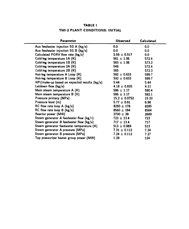| <b>Parameter</b>                               | <b>Observed</b>   | <b>Calculated</b> |
|------------------------------------------------|-------------------|-------------------|
| Aux feedwater injection SG A (kg/s)            | 0.0               | 0.0               |
| Aux feedwater injection SG B (kg/s)            | 0.0               | 0.0               |
| Calculated PORV flow rate (kg/s)               | $2.59 \pm 0.517$  | 0.0               |
| Cold-leg temperature 1A (K)                    | $561 \pm 1.06$    | 572.4             |
| Cold-leg temperature 1B (K)                    | $565 \pm 1.06$    | 573.2             |
| Cold-leg temperature 2A (K)                    | 548               | 572.4             |
| Cold-leg temperature 2B (K)                    | 565               | 572.3             |
| Hot-leg temperature A Loop (K)                 | 592 $\pm$ 0.633   | 599.7             |
| Hot-leg temperature B Loop (K)                 | $592 \pm 0.633$   | 599.7             |
| $HPI/make-up based on expected results (kg/s)$ | 5.44              | 5.44              |
| Letdown flow (kg/s)                            | $4.18 \pm 0.835$  | 4.11              |
| Main steam temperature A (K)                   | 586 $\pm$ 1.17    | 590.4             |
| Main steam temperature B (K)                   | $586 \pm 1.17$    | 592.1             |
| Pressure primary (MPa)                         | $15.2 \pm 0.0752$ | 15.22             |
| Pressure level (m)                             | $5.77 \pm 0.61$   | 6.98              |
| RC flow rate loop $A$ (kg/s)                   | $8280 \pm 178$    | 8285              |
| RC flow rate loop B $(kg/s)$                   | $8560 \pm 184$    | 8564              |
| Reactor power (MW)                             | $2700 \pm 39$     | 2689              |
| Steam generator A feedwater flow ( $kg/s$ )    | $723 \pm 13.4$    | 723               |
| Steam generator B feedwater flow $(kg/s)$      | $717 \pm 13.4$    | 717               |
| Steam generator feedwater temperature (K)      | $513 \pm 0.989$   | 513               |
| Steam generator A pressure (MPa)               | $7.31 \pm 0.112$  | 7.34              |
| Steam generator B pressure (MPa)               | $7.24 \pm 0.112$  | 7.27              |

**124**

**Top pressurizer heater group power (MW) 1.39**

# **TABLE I TMI-2 PLANT CONDITIONS: INITIAL**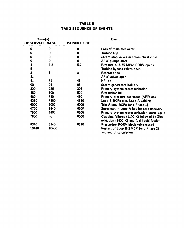# TABLE II TMI-2 SEQUENCE OF EVENTS

| Time(s)              |             |                   | <b>Event</b>                                                                              |
|----------------------|-------------|-------------------|-------------------------------------------------------------------------------------------|
| <b>OBSERVED BASE</b> |             | <b>PARAMETRIC</b> |                                                                                           |
| 0                    | 0           | 0                 | Loss of main feedwater                                                                    |
| 0                    | 0           | 0                 | Turbine trip                                                                              |
| 0                    | 0           | 0                 | Steam stop valves in steam chest close                                                    |
| 0                    | $\mathbf 0$ | 0                 | AFW pumps start                                                                           |
|                      | 5.2         | 5.2               | Pressure >15.65 MPa: PORV opens                                                           |
| 5                    |             |                   | Turbine bypass valves open                                                                |
| 8                    | 8           | 8                 | <b>Reactor trips</b>                                                                      |
| 31                   |             |                   | AFW valves open                                                                           |
| 41                   | 41          | 41                | HPI on                                                                                    |
| 90                   | 93          | 93                | Steam generators boil dry                                                                 |
| 320                  | 326         | 326               | Primary system repressurization                                                           |
| 450                  | 500         | 500               | Pressurizer full                                                                          |
| 480                  | 480         | 480               | Primary pressure decreases (AFW on)                                                       |
| 4380                 | 4380        | 4380              | Loop B RCPs trip, Loop A voiding                                                          |
| 6000                 | 6000        | 6000              | Trip A loop RCPs (end Phase 1)                                                            |
| <b>6720</b>          | 7440        | 6600              | Superheat in Loop A hot-leg core uncovery                                                 |
| 7500                 | 8400        | 8300              | Primary system repressurization starts again                                              |
| 7800                 | no          | 8000              | Cladding failures (1100 K) followed by Zirc<br>oxidation (1800 K) and fuel liquid faction |
| 8340                 | 8340        | 8340              | Pressurizer PORV block valve closed                                                       |
| 10440                | 10400       |                   | Restart of Loop B-2 RCP (end Phase 2)<br>and end of calculation                           |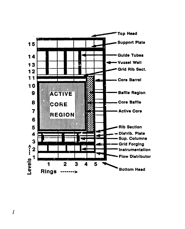

 $\overline{L}$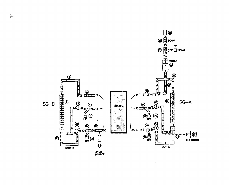

 $\chi$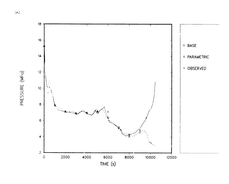

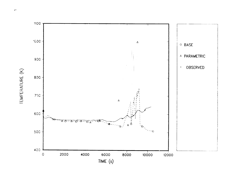

TEMPERATURE (K)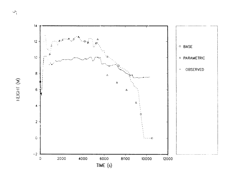

HEIGHT (M)

 $\overline{C}$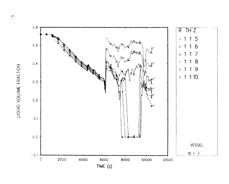

LIQUID VOLUME FRACTION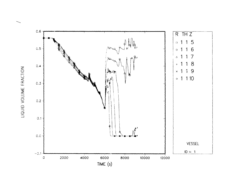LIQUID VOLUME FRACTION

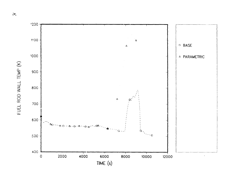

 $\infty$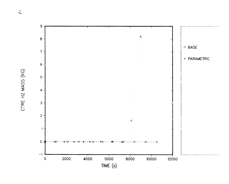

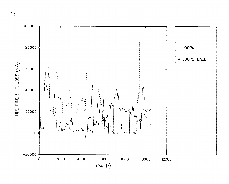

 $\check{C}$